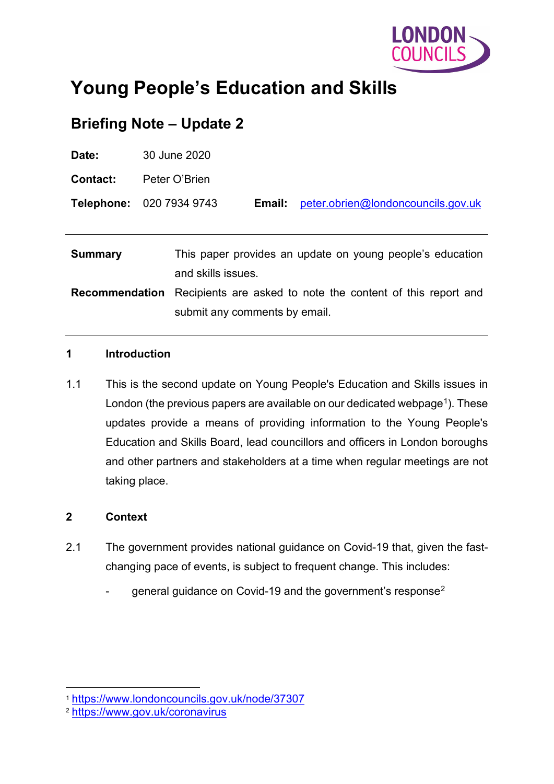

# **Young People's Education and Skills**

# **Briefing Note – Update 2**

| Date:                                                                                             | 30 June 2020                                                                      |                                    |  |
|---------------------------------------------------------------------------------------------------|-----------------------------------------------------------------------------------|------------------------------------|--|
| <b>Contact:</b>                                                                                   | Peter O'Brien                                                                     |                                    |  |
|                                                                                                   | Telephone: 020 7934 9743<br>Email:                                                | peter.obrien@londoncouncils.gov.uk |  |
|                                                                                                   |                                                                                   |                                    |  |
| This paper provides an update on young people's education<br><b>Summary</b><br>and skills issues. |                                                                                   |                                    |  |
|                                                                                                   | <b>Recommendation</b> Recipients are asked to note the content of this report and |                                    |  |
|                                                                                                   | submit any comments by email.                                                     |                                    |  |

#### **1 Introduction**

1.1 This is the second update on Young People's Education and Skills issues in London (the previous papers are available on our dedicated webpage<sup>[1](#page-0-0)</sup>). These updates provide a means of providing information to the Young People's Education and Skills Board, lead councillors and officers in London boroughs and other partners and stakeholders at a time when regular meetings are not taking place.

#### **2 Context**

- 2.1 The government provides national guidance on Covid-19 that, given the fastchanging pace of events, is subject to frequent change. This includes:
	- general guidance on Covid-19 and the government's response<sup>[2](#page-0-1)</sup>

<span id="page-0-0"></span><sup>1</sup> <https://www.londoncouncils.gov.uk/node/37307>

<span id="page-0-1"></span><sup>2</sup> <https://www.gov.uk/coronavirus>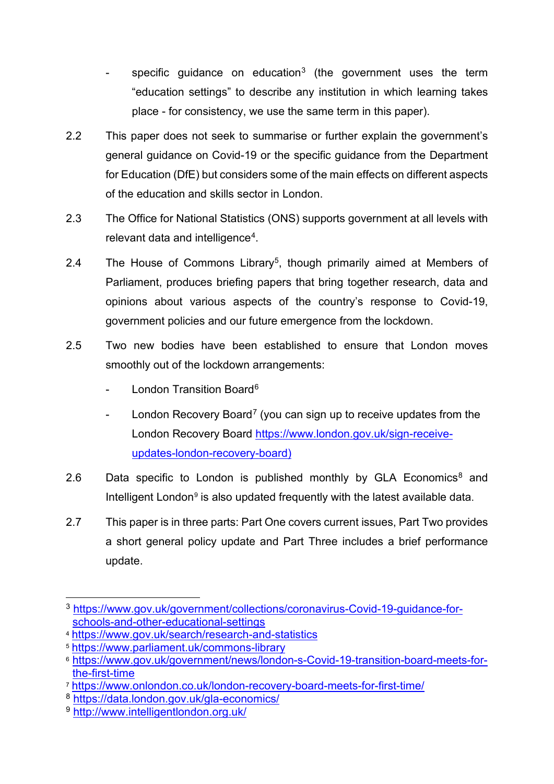- specific guidance on education<sup>[3](#page-1-0)</sup> (the government uses the term "education settings" to describe any institution in which learning takes place - for consistency, we use the same term in this paper).
- 2.2 This paper does not seek to summarise or further explain the government's general guidance on Covid-19 or the specific guidance from the Department for Education (DfE) but considers some of the main effects on different aspects of the education and skills sector in London.
- 2.3 The Office for National Statistics (ONS) supports government at all levels with relevant data and intelligence<sup>4</sup>.
- 2.4 The House of Commons Library<sup>5</sup>, though primarily aimed at Members of Parliament, produces briefing papers that bring together research, data and opinions about various aspects of the country's response to Covid-19, government policies and our future emergence from the lockdown.
- 2.5 Two new bodies have been established to ensure that London moves smoothly out of the lockdown arrangements:
	- London Transition Board<sup>[6](#page-1-3)</sup>
	- London Recovery Board<sup>[7](#page-1-4)</sup> (you can sign up to receive updates from the London Recovery Board [https://www.london.gov.uk/sign-receive](https://www.london.gov.uk/sign-receive-updates-london-recovery-board)[updates-london-recovery-board\)](https://www.london.gov.uk/sign-receive-updates-london-recovery-board)
- 2.6 Data specific to London is published monthly by GLA Economics $8$  and Intelligent London<sup>[9](#page-1-6)</sup> is also updated frequently with the latest available data.
- 2.7 This paper is in three parts: Part One covers current issues, Part Two provides a short general policy update and Part Three includes a brief performance update.

<span id="page-1-0"></span><sup>3</sup> [https://www.gov.uk/government/collections/coronavirus-Covid-19-guidance-for](https://www.gov.uk/government/collections/coronavirus-covid-19-guidance-for-schools-and-other-educational-settings)[schools-and-other-educational-settings](https://www.gov.uk/government/collections/coronavirus-covid-19-guidance-for-schools-and-other-educational-settings)

<span id="page-1-1"></span><sup>4</sup> <https://www.gov.uk/search/research-and-statistics>

<span id="page-1-2"></span><sup>5</sup> <https://www.parliament.uk/commons-library>

<span id="page-1-3"></span><sup>6</sup> [https://www.gov.uk/government/news/london-s-Covid-19-transition-board-meets-for](https://www.gov.uk/government/news/london-s-covid-19-transition-board-meets-for-the-first-time)[the-first-time](https://www.gov.uk/government/news/london-s-covid-19-transition-board-meets-for-the-first-time)

<span id="page-1-4"></span><sup>7</sup> <https://www.onlondon.co.uk/london-recovery-board-meets-for-first-time/>

<span id="page-1-5"></span><sup>8</sup> <https://data.london.gov.uk/gla-economics/>

<span id="page-1-6"></span><sup>9</sup> <http://www.intelligentlondon.org.uk/>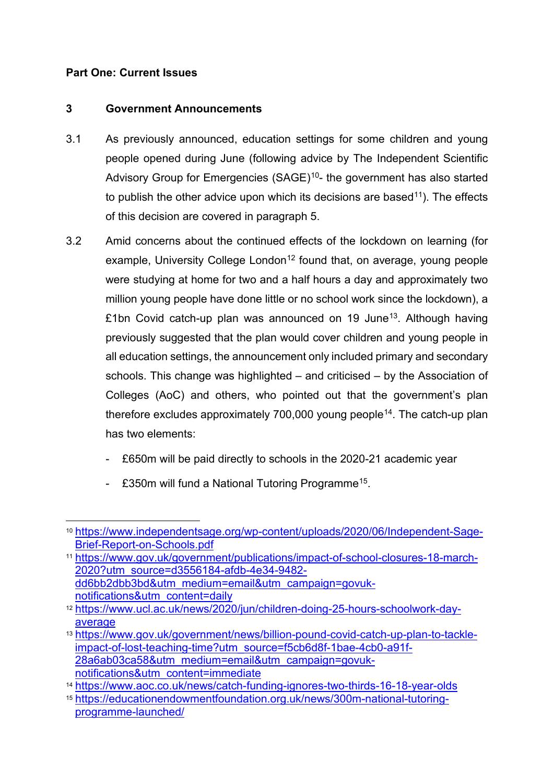#### **Part One: Current Issues**

#### **3 Government Announcements**

- 3.1 As previously announced, education settings for some children and young people opened during June (following advice by The Independent Scientific Advisory Group for Emergencies (SAGE)<sup>[10](#page-2-0)</sup>- the government has also started to publish the other advice upon which its decisions are based<sup>[11](#page-2-1)</sup>). The effects of this decision are covered in paragraph [5.](#page-4-0)
- 3.2 Amid concerns about the continued effects of the lockdown on learning (for example, University College London<sup>[12](#page-2-2)</sup> found that, on average, young people were studying at home for two and a half hours a day and approximately two million young people have done little or no school work since the lockdown), a £1bn Covid catch-up plan was announced on 19 June<sup>13</sup>. Although having previously suggested that the plan would cover children and young people in all education settings, the announcement only included primary and secondary schools. This change was highlighted – and criticised – by the Association of Colleges (AoC) and others, who pointed out that the government's plan therefore excludes approximately 700,000 young people<sup>14</sup>. The catch-up plan has two elements:
	- £650m will be paid directly to schools in the 2020-21 academic year
	- £350m will fund a National Tutoring Programme<sup>[15](#page-2-5)</sup>.

<span id="page-2-0"></span><sup>10</sup> [https://www.independentsage.org/wp-content/uploads/2020/06/Independent-Sage-](https://www.independentsage.org/wp-content/uploads/2020/06/Independent-Sage-Brief-Report-on-Schools.pdf)[Brief-Report-on-Schools.pdf](https://www.independentsage.org/wp-content/uploads/2020/06/Independent-Sage-Brief-Report-on-Schools.pdf)

<span id="page-2-1"></span><sup>11</sup> [https://www.gov.uk/government/publications/impact-of-school-closures-18-march-](https://www.gov.uk/government/publications/impact-of-school-closures-18-march-2020?utm_source=d3556184-afdb-4e34-9482-dd6bb2dbb3bd&utm_medium=email&utm_campaign=govuk-notifications&utm_content=daily)[2020?utm\\_source=d3556184-afdb-4e34-9482](https://www.gov.uk/government/publications/impact-of-school-closures-18-march-2020?utm_source=d3556184-afdb-4e34-9482-dd6bb2dbb3bd&utm_medium=email&utm_campaign=govuk-notifications&utm_content=daily) [dd6bb2dbb3bd&utm\\_medium=email&utm\\_campaign=govuk](https://www.gov.uk/government/publications/impact-of-school-closures-18-march-2020?utm_source=d3556184-afdb-4e34-9482-dd6bb2dbb3bd&utm_medium=email&utm_campaign=govuk-notifications&utm_content=daily)[notifications&utm\\_content=daily](https://www.gov.uk/government/publications/impact-of-school-closures-18-march-2020?utm_source=d3556184-afdb-4e34-9482-dd6bb2dbb3bd&utm_medium=email&utm_campaign=govuk-notifications&utm_content=daily)

<span id="page-2-2"></span><sup>12</sup> [https://www.ucl.ac.uk/news/2020/jun/children-doing-25-hours-schoolwork-day](https://www.ucl.ac.uk/news/2020/jun/children-doing-25-hours-schoolwork-day-average)[average](https://www.ucl.ac.uk/news/2020/jun/children-doing-25-hours-schoolwork-day-average)

<span id="page-2-3"></span><sup>13</sup> [https://www.gov.uk/government/news/billion-pound-covid-catch-up-plan-to-tackle](https://www.gov.uk/government/news/billion-pound-covid-catch-up-plan-to-tackle-impact-of-lost-teaching-time?utm_source=f5cb6d8f-1bae-4cb0-a91f-28a6ab03ca58&utm_medium=email&utm_campaign=govuk-notifications&utm_content=immediate)[impact-of-lost-teaching-time?utm\\_source=f5cb6d8f-1bae-4cb0-a91f-](https://www.gov.uk/government/news/billion-pound-covid-catch-up-plan-to-tackle-impact-of-lost-teaching-time?utm_source=f5cb6d8f-1bae-4cb0-a91f-28a6ab03ca58&utm_medium=email&utm_campaign=govuk-notifications&utm_content=immediate)[28a6ab03ca58&utm\\_medium=email&utm\\_campaign=govuk](https://www.gov.uk/government/news/billion-pound-covid-catch-up-plan-to-tackle-impact-of-lost-teaching-time?utm_source=f5cb6d8f-1bae-4cb0-a91f-28a6ab03ca58&utm_medium=email&utm_campaign=govuk-notifications&utm_content=immediate)[notifications&utm\\_content=immediate](https://www.gov.uk/government/news/billion-pound-covid-catch-up-plan-to-tackle-impact-of-lost-teaching-time?utm_source=f5cb6d8f-1bae-4cb0-a91f-28a6ab03ca58&utm_medium=email&utm_campaign=govuk-notifications&utm_content=immediate)

<span id="page-2-4"></span><sup>14</sup> <https://www.aoc.co.uk/news/catch-funding-ignores-two-thirds-16-18-year-olds>

<span id="page-2-5"></span><sup>15</sup> [https://educationendowmentfoundation.org.uk/news/300m-national-tutoring](https://educationendowmentfoundation.org.uk/news/300m-national-tutoring-programme-launched/)[programme-launched/](https://educationendowmentfoundation.org.uk/news/300m-national-tutoring-programme-launched/)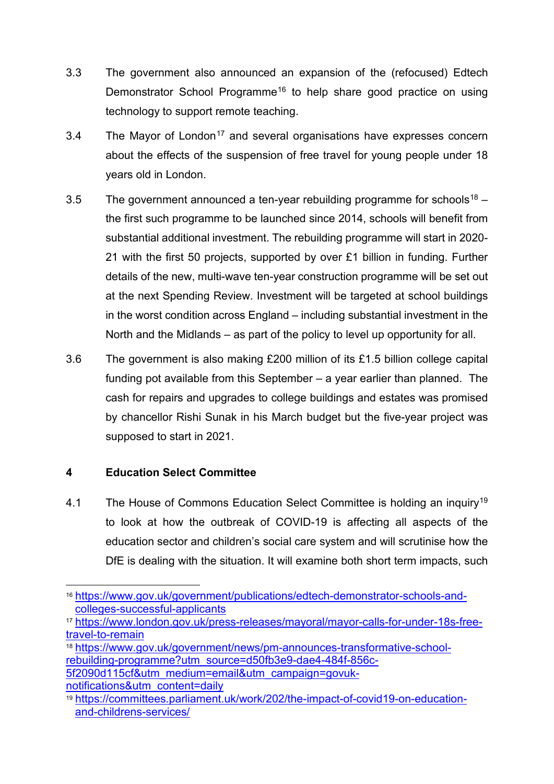- 3.3 The government also announced an expansion of the (refocused) Edtech Demonstrator School Programme<sup>[16](#page-3-0)</sup> to help share good practice on using technology to support remote teaching.
- 3.4 The Mayor of London<sup>[17](#page-3-1)</sup> and several organisations have expresses concern about the effects of the suspension of free travel for young people under 18 years old in London.
- 3.5 The government announced a ten-year rebuilding programme for schools<sup>[18](#page-3-2)</sup> the first such programme to be launched since 2014, schools will benefit from substantial additional investment. The rebuilding programme will start in 2020- 21 with the first 50 projects, supported by over £1 billion in funding. Further details of the new, multi-wave ten-year construction programme will be set out at the next Spending Review. Investment will be targeted at school buildings in the worst condition across England – including substantial investment in the North and the Midlands – as part of the policy to level up opportunity for all.
- 3.6 The government is also making £200 million of its £1.5 billion college capital funding pot available from this September – a year earlier than planned. The cash for repairs and upgrades to college buildings and estates was promised by chancellor Rishi Sunak in his March budget but the five-year project was supposed to start in 2021.

## **4 Education Select Committee**

4.1 The House of Commons Education Select Committee is holding an inquiry<sup>[19](#page-3-3)</sup> to look at how the outbreak of COVID-19 is affecting all aspects of the education sector and children's social care system and will scrutinise how the DfE is dealing with the situation. It will examine both short term impacts, such

<span id="page-3-2"></span><sup>18</sup> [https://www.gov.uk/government/news/pm-announces-transformative-school](https://www.gov.uk/government/news/pm-announces-transformative-school-rebuilding-programme?utm_source=d50fb3e9-dae4-484f-856c-5f2090d115cf&utm_medium=email&utm_campaign=govuk-notifications&utm_content=daily)[rebuilding-programme?utm\\_source=d50fb3e9-dae4-484f-856c-](https://www.gov.uk/government/news/pm-announces-transformative-school-rebuilding-programme?utm_source=d50fb3e9-dae4-484f-856c-5f2090d115cf&utm_medium=email&utm_campaign=govuk-notifications&utm_content=daily)[5f2090d115cf&utm\\_medium=email&utm\\_campaign=govuk-](https://www.gov.uk/government/news/pm-announces-transformative-school-rebuilding-programme?utm_source=d50fb3e9-dae4-484f-856c-5f2090d115cf&utm_medium=email&utm_campaign=govuk-notifications&utm_content=daily)

[notifications&utm\\_content=daily](https://www.gov.uk/government/news/pm-announces-transformative-school-rebuilding-programme?utm_source=d50fb3e9-dae4-484f-856c-5f2090d115cf&utm_medium=email&utm_campaign=govuk-notifications&utm_content=daily)

<span id="page-3-0"></span><sup>16</sup> [https://www.gov.uk/government/publications/edtech-demonstrator-schools-and](https://www.gov.uk/government/publications/edtech-demonstrator-schools-and-colleges-successful-applicants)[colleges-successful-applicants](https://www.gov.uk/government/publications/edtech-demonstrator-schools-and-colleges-successful-applicants)

<span id="page-3-1"></span><sup>17</sup> [https://www.london.gov.uk/press-releases/mayoral/mayor-calls-for-under-18s-free](https://www.london.gov.uk/press-releases/mayoral/mayor-calls-for-under-18s-free-travel-to-remain)[travel-to-remain](https://www.london.gov.uk/press-releases/mayoral/mayor-calls-for-under-18s-free-travel-to-remain)

<span id="page-3-3"></span><sup>19</sup> [https://committees.parliament.uk/work/202/the-impact-of-covid19-on-education](https://committees.parliament.uk/work/202/the-impact-of-covid19-on-education-and-childrens-services/)[and-childrens-services/](https://committees.parliament.uk/work/202/the-impact-of-covid19-on-education-and-childrens-services/)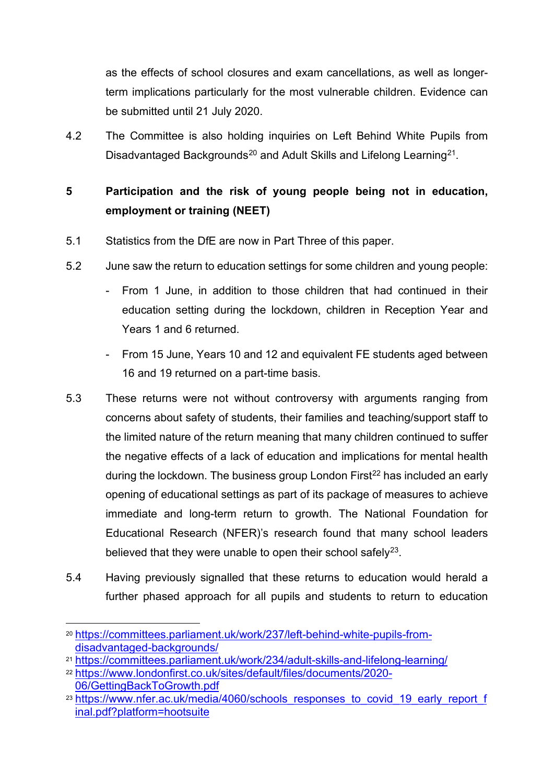as the effects of school closures and exam cancellations, as well as longerterm implications particularly for the most vulnerable children. Evidence can be submitted until 21 July 2020.

4.2 The Committee is also holding inquiries on Left Behind White Pupils from Disadvantaged Backgrounds<sup>[20](#page-4-1)</sup> and Adult Skills and Lifelong Learning<sup>21</sup>.

## <span id="page-4-0"></span>**5 Participation and the risk of young people being not in education, employment or training (NEET)**

- 5.1 Statistics from the DfE are now in Part Three of this paper.
- 5.2 June saw the return to education settings for some children and young people:
	- From 1 June, in addition to those children that had continued in their education setting during the lockdown, children in Reception Year and Years 1 and 6 returned.
	- From 15 June, Years 10 and 12 and equivalent FE students aged between 16 and 19 returned on a part-time basis.
- 5.3 These returns were not without controversy with arguments ranging from concerns about safety of students, their families and teaching/support staff to the limited nature of the return meaning that many children continued to suffer the negative effects of a lack of education and implications for mental health during the lockdown. The business group London First<sup>[22](#page-4-3)</sup> has included an early opening of educational settings as part of its package of measures to achieve immediate and long-term return to growth. The National Foundation for Educational Research (NFER)'s research found that many school leaders believed that they were unable to open their school safely $^{23}$  $^{23}$  $^{23}$ .
- 5.4 Having previously signalled that these returns to education would herald a further phased approach for all pupils and students to return to education

<span id="page-4-1"></span><sup>20</sup> [https://committees.parliament.uk/work/237/left-behind-white-pupils-from](https://committees.parliament.uk/work/237/left-behind-white-pupils-from-disadvantaged-backgrounds/)[disadvantaged-backgrounds/](https://committees.parliament.uk/work/237/left-behind-white-pupils-from-disadvantaged-backgrounds/)

<span id="page-4-2"></span><sup>21</sup> <https://committees.parliament.uk/work/234/adult-skills-and-lifelong-learning/>

<span id="page-4-3"></span><sup>22</sup> [https://www.londonfirst.co.uk/sites/default/files/documents/2020-](https://www.londonfirst.co.uk/sites/default/files/documents/2020-06/GettingBackToGrowth.pdf) [06/GettingBackToGrowth.pdf](https://www.londonfirst.co.uk/sites/default/files/documents/2020-06/GettingBackToGrowth.pdf)

<span id="page-4-4"></span><sup>&</sup>lt;sup>23</sup> https://www.nfer.ac.uk/media/4060/schools\_responses\_to\_covid\_19\_early\_report\_f [inal.pdf?platform=hootsuite](https://www.nfer.ac.uk/media/4060/schools_responses_to_covid_19_early_report_final.pdf?platform=hootsuite)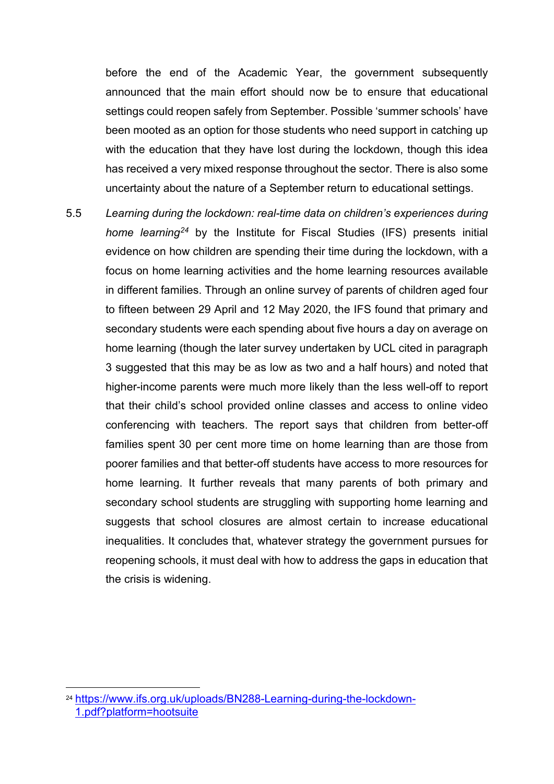before the end of the Academic Year, the government subsequently announced that the main effort should now be to ensure that educational settings could reopen safely from September. Possible 'summer schools' have been mooted as an option for those students who need support in catching up with the education that they have lost during the lockdown, though this idea has received a very mixed response throughout the sector. There is also some uncertainty about the nature of a September return to educational settings.

5.5 *Learning during the lockdown: real-time data on children's experiences during home learning[24](#page-5-0)* by the Institute for Fiscal Studies (IFS) presents initial evidence on how children are spending their time during the lockdown, with a focus on home learning activities and the home learning resources available in different families. Through an online survey of parents of children aged four to fifteen between 29 April and 12 May 2020, the IFS found that primary and secondary students were each spending about five hours a day on average on home learning (though the later survey undertaken by UCL cited in paragraph 3 suggested that this may be as low as two and a half hours) and noted that higher-income parents were much more likely than the less well-off to report that their child's school provided online classes and access to online video conferencing with teachers. The report says that children from better-off families spent 30 per cent more time on home learning than are those from poorer families and that better-off students have access to more resources for home learning. It further reveals that many parents of both primary and secondary school students are struggling with supporting home learning and suggests that school closures are almost certain to increase educational inequalities. It concludes that, whatever strategy the government pursues for reopening schools, it must deal with how to address the gaps in education that the crisis is widening.

<span id="page-5-0"></span><sup>24</sup> [https://www.ifs.org.uk/uploads/BN288-Learning-during-the-lockdown-](https://www.ifs.org.uk/uploads/BN288-Learning-during-the-lockdown-1.pdf?platform=hootsuite)[1.pdf?platform=hootsuite](https://www.ifs.org.uk/uploads/BN288-Learning-during-the-lockdown-1.pdf?platform=hootsuite)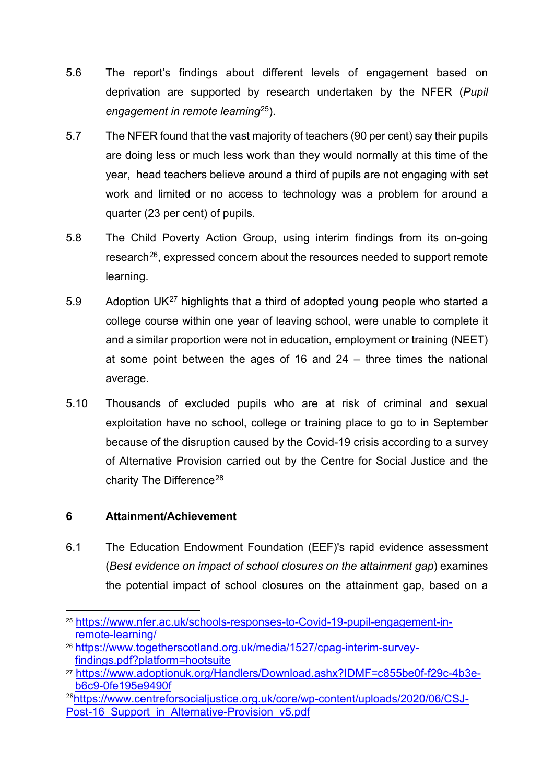- 5.6 The report's findings about different levels of engagement based on deprivation are supported by research undertaken by the NFER (*Pupil engagement in remote learning*[25](#page-6-0)).
- 5.7 The NFER found that the vast majority of teachers (90 per cent) say their pupils are doing less or much less work than they would normally at this time of the year, head teachers believe around a third of pupils are not engaging with set work and limited or no access to technology was a problem for around a quarter (23 per cent) of pupils.
- 5.8 The Child Poverty Action Group, using interim findings from its on-going research<sup>26</sup>, expressed concern about the resources needed to support remote learning.
- 5.9 Adoption UK<sup>[27](#page-6-2)</sup> highlights that a third of adopted young people who started a college course within one year of leaving school, were unable to complete it and a similar proportion were not in education, employment or training (NEET) at some point between the ages of 16 and 24 – three times the national average.
- 5.10 Thousands of excluded pupils who are at risk of criminal and sexual exploitation have no school, college or training place to go to in September because of the disruption caused by the Covid-19 crisis according to a survey of Alternative Provision carried out by the Centre for Social Justice and the charity The Difference<sup>[28](#page-6-3)</sup>

#### **6 Attainment/Achievement**

6.1 The Education Endowment Foundation (EEF)'s rapid evidence assessment (*Best evidence on impact of school closures on the attainment gap*) examines the potential impact of school closures on the attainment gap, based on a

<span id="page-6-0"></span><sup>25</sup> [https://www.nfer.ac.uk/schools-responses-to-Covid-19-pupil-engagement-in](https://www.nfer.ac.uk/schools-responses-to-covid-19-pupil-engagement-in-remote-learning/)[remote-learning/](https://www.nfer.ac.uk/schools-responses-to-covid-19-pupil-engagement-in-remote-learning/)

<span id="page-6-1"></span><sup>26</sup> [https://www.togetherscotland.org.uk/media/1527/cpag-interim-survey](https://www.togetherscotland.org.uk/media/1527/cpag-interim-survey-findings.pdf?platform=hootsuite)[findings.pdf?platform=hootsuite](https://www.togetherscotland.org.uk/media/1527/cpag-interim-survey-findings.pdf?platform=hootsuite)

<span id="page-6-2"></span><sup>27</sup> [https://www.adoptionuk.org/Handlers/Download.ashx?IDMF=c855be0f-f29c-4b3e](https://www.adoptionuk.org/Handlers/Download.ashx?IDMF=c855be0f-f29c-4b3e-b6c9-0fe195e9490f)[b6c9-0fe195e9490f](https://www.adoptionuk.org/Handlers/Download.ashx?IDMF=c855be0f-f29c-4b3e-b6c9-0fe195e9490f)

<span id="page-6-3"></span><sup>&</sup>lt;sup>28</sup>[https://www.centreforsocialjustice.org.uk/core/wp-content/uploads/2020/06/CSJ-](https://www.centreforsocialjustice.org.uk/core/wp-content/uploads/2020/06/CSJ-Post-16_Support_in_Alternative-Provision_v5.pdf)Post-16 Support in Alternative-Provision v5.pdf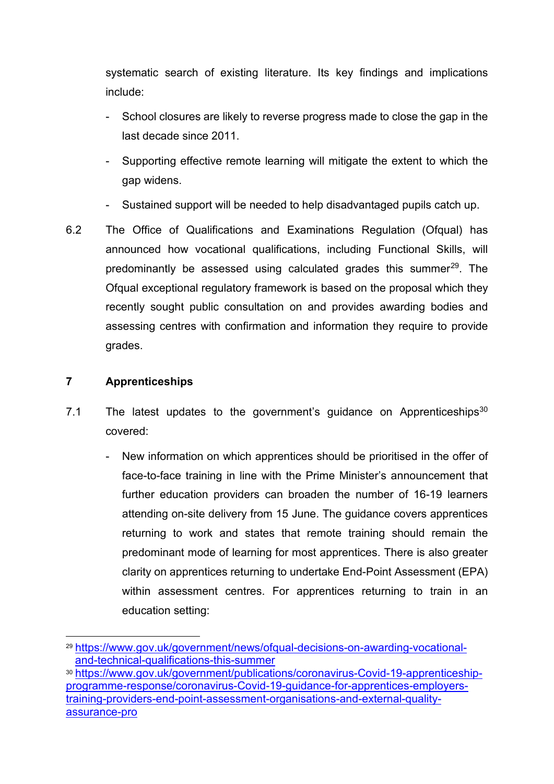systematic search of existing literature. Its key findings and implications include:

- School closures are likely to reverse progress made to close the gap in the last decade since 2011.
- Supporting effective remote learning will mitigate the extent to which the gap widens.
- Sustained support will be needed to help disadvantaged pupils catch up.
- 6.2 The Office of Qualifications and Examinations Regulation (Ofqual) has announced how vocational qualifications, including Functional Skills, will predominantly be assessed using calculated grades this summer<sup>[29](#page-7-0)</sup>. The Ofqual exceptional regulatory framework is based on the proposal which they recently sought public consultation on and provides awarding bodies and assessing centres with confirmation and information they require to provide grades.

#### **7 Apprenticeships**

- 7.1 The latest updates to the government's guidance on Apprenticeships $30$ covered:
	- New information on which apprentices should be prioritised in the offer of face-to-face training in line with the Prime Minister's announcement that further education providers can broaden the number of 16-19 learners attending on-site delivery from 15 June. The guidance covers apprentices returning to work and states that remote training should remain the predominant mode of learning for most apprentices. There is also greater clarity on apprentices returning to undertake End-Point Assessment (EPA) within assessment centres. For apprentices returning to train in an education setting:

<span id="page-7-0"></span><sup>29</sup> [https://www.gov.uk/government/news/ofqual-decisions-on-awarding-vocational](https://www.gov.uk/government/news/ofqual-decisions-on-awarding-vocational-and-technical-qualifications-this-summer)[and-technical-qualifications-this-summer](https://www.gov.uk/government/news/ofqual-decisions-on-awarding-vocational-and-technical-qualifications-this-summer)

<span id="page-7-1"></span><sup>30</sup> [https://www.gov.uk/government/publications/coronavirus-Covid-19-apprenticeship](https://www.gov.uk/government/publications/coronavirus-covid-19-apprenticeship-programme-response/coronavirus-covid-19-guidance-for-apprentices-employers-training-providers-end-point-assessment-organisations-and-external-quality-assurance-pro)[programme-response/coronavirus-Covid-19-guidance-for-apprentices-employers](https://www.gov.uk/government/publications/coronavirus-covid-19-apprenticeship-programme-response/coronavirus-covid-19-guidance-for-apprentices-employers-training-providers-end-point-assessment-organisations-and-external-quality-assurance-pro)[training-providers-end-point-assessment-organisations-and-external-quality](https://www.gov.uk/government/publications/coronavirus-covid-19-apprenticeship-programme-response/coronavirus-covid-19-guidance-for-apprentices-employers-training-providers-end-point-assessment-organisations-and-external-quality-assurance-pro)[assurance-pro](https://www.gov.uk/government/publications/coronavirus-covid-19-apprenticeship-programme-response/coronavirus-covid-19-guidance-for-apprentices-employers-training-providers-end-point-assessment-organisations-and-external-quality-assurance-pro)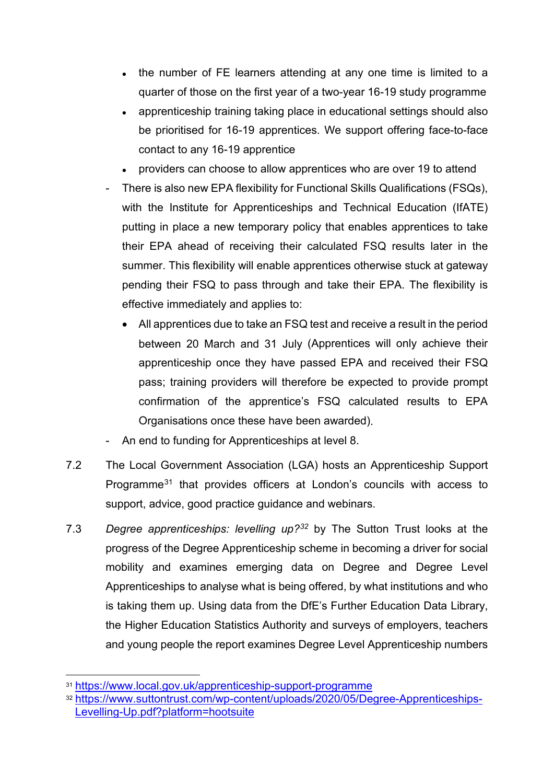- the number of FE learners attending at any one time is limited to a quarter of those on the first year of a two-year 16-19 study programme
- apprenticeship training taking place in educational settings should also be prioritised for 16-19 apprentices. We support offering face-to-face contact to any 16-19 apprentice
- providers can choose to allow apprentices who are over 19 to attend
- There is also new EPA flexibility for Functional Skills Qualifications (FSQs), with the Institute for Apprenticeships and Technical Education (IfATE) putting in place a new temporary policy that enables apprentices to take their EPA ahead of receiving their calculated FSQ results later in the summer. This flexibility will enable apprentices otherwise stuck at gateway pending their FSQ to pass through and take their EPA. The flexibility is effective immediately and applies to:
	- All apprentices due to take an FSQ test and receive a result in the period between 20 March and 31 July (Apprentices will only achieve their apprenticeship once they have passed EPA and received their FSQ pass; training providers will therefore be expected to provide prompt confirmation of the apprentice's FSQ calculated results to EPA Organisations once these have been awarded).
- An end to funding for Apprenticeships at level 8.
- 7.2 The Local Government Association (LGA) hosts an Apprenticeship Support Programme<sup>[31](#page-8-0)</sup> that provides officers at London's councils with access to support, advice, good practice guidance and webinars.
- 7.3 *Degree apprenticeships: levelling up?[32](#page-8-1)* by The Sutton Trust looks at the progress of the Degree Apprenticeship scheme in becoming a driver for social mobility and examines emerging data on Degree and Degree Level Apprenticeships to analyse what is being offered, by what institutions and who is taking them up. Using data from the DfE's Further Education Data Library, the Higher Education Statistics Authority and surveys of employers, teachers and young people the report examines Degree Level Apprenticeship numbers

<span id="page-8-0"></span><sup>31</sup> <https://www.local.gov.uk/apprenticeship-support-programme>

<span id="page-8-1"></span><sup>32</sup> [https://www.suttontrust.com/wp-content/uploads/2020/05/Degree-Apprenticeships-](https://www.suttontrust.com/wp-content/uploads/2020/05/Degree-Apprenticeships-Levelling-Up.pdf?platform=hootsuite)[Levelling-Up.pdf?platform=hootsuite](https://www.suttontrust.com/wp-content/uploads/2020/05/Degree-Apprenticeships-Levelling-Up.pdf?platform=hootsuite)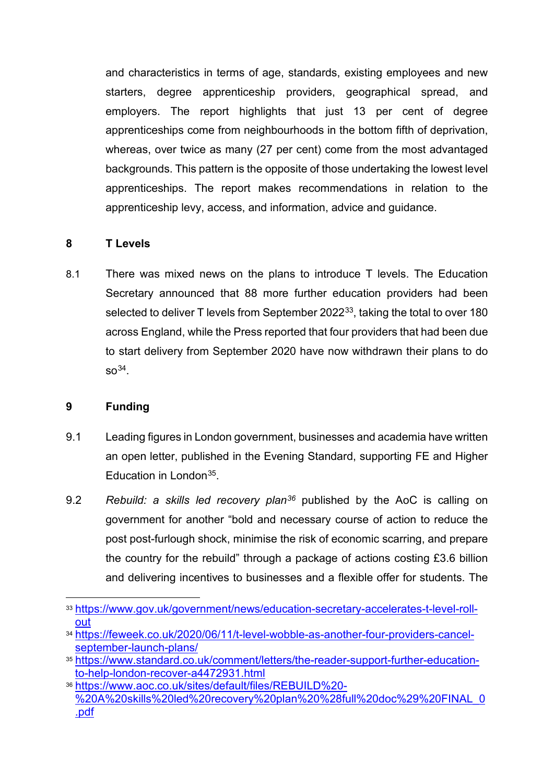and characteristics in terms of age, standards, existing employees and new starters, degree apprenticeship providers, geographical spread, and employers. The report highlights that just 13 per cent of degree apprenticeships come from neighbourhoods in the bottom fifth of deprivation, whereas, over twice as many (27 per cent) come from the most advantaged backgrounds. This pattern is the opposite of those undertaking the lowest level apprenticeships. The report makes recommendations in relation to the apprenticeship levy, access, and information, advice and guidance.

#### **8 T Levels**

8.1 There was mixed news on the plans to introduce T levels. The Education Secretary announced that 88 more further education providers had been selected to deliver T levels from September 2022<sup>33</sup>, taking the total to over 180 across England, while the Press reported that four providers that had been due to start delivery from September 2020 have now withdrawn their plans to do  $SO<sup>34</sup>$ .

#### **9 Funding**

- 9.1 Leading figures in London government, businesses and academia have written an open letter, published in the Evening Standard, supporting FE and Higher Education in Londo[n35](#page-9-2).
- 9.2 *Rebuild: a skills led recovery plan[36](#page-9-3)* published by the AoC is calling on government for another "bold and necessary course of action to reduce the post post-furlough shock, minimise the risk of economic scarring, and prepare the country for the rebuild" through a package of actions costing £3.6 billion and delivering incentives to businesses and a flexible offer for students. The

<span id="page-9-0"></span><sup>33</sup> [https://www.gov.uk/government/news/education-secretary-accelerates-t-level-roll](https://www.gov.uk/government/news/education-secretary-accelerates-t-level-roll-out)[out](https://www.gov.uk/government/news/education-secretary-accelerates-t-level-roll-out)

<span id="page-9-1"></span><sup>34</sup> [https://feweek.co.uk/2020/06/11/t-level-wobble-as-another-four-providers-cancel](https://feweek.co.uk/2020/06/11/t-level-wobble-as-another-four-providers-cancel-september-launch-plans/)[september-launch-plans/](https://feweek.co.uk/2020/06/11/t-level-wobble-as-another-four-providers-cancel-september-launch-plans/)

<span id="page-9-2"></span><sup>35</sup> [https://www.standard.co.uk/comment/letters/the-reader-support-further-education](https://www.standard.co.uk/comment/letters/the-reader-support-further-education-to-help-london-recover-a4472931.html)[to-help-london-recover-a4472931.html](https://www.standard.co.uk/comment/letters/the-reader-support-further-education-to-help-london-recover-a4472931.html)

<span id="page-9-3"></span><sup>36</sup> [https://www.aoc.co.uk/sites/default/files/REBUILD%20-](https://www.aoc.co.uk/sites/default/files/REBUILD%20-%20A%20skills%20led%20recovery%20plan%20%28full%20doc%29%20FINAL_0.pdf) [%20A%20skills%20led%20recovery%20plan%20%28full%20doc%29%20FINAL\\_0](https://www.aoc.co.uk/sites/default/files/REBUILD%20-%20A%20skills%20led%20recovery%20plan%20%28full%20doc%29%20FINAL_0.pdf) [.pdf](https://www.aoc.co.uk/sites/default/files/REBUILD%20-%20A%20skills%20led%20recovery%20plan%20%28full%20doc%29%20FINAL_0.pdf)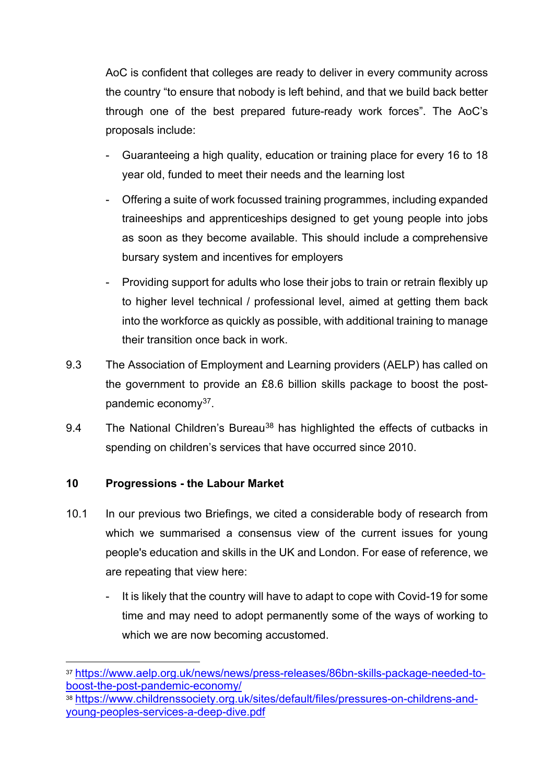AoC is confident that colleges are ready to deliver in every community across the country "to ensure that nobody is left behind, and that we build back better through one of the best prepared future-ready work forces". The AoC's proposals include:

- Guaranteeing a high quality, education or training place for every 16 to 18 year old, funded to meet their needs and the learning lost
- Offering a suite of work focussed training programmes, including expanded traineeships and apprenticeships designed to get young people into jobs as soon as they become available. This should include a comprehensive bursary system and incentives for employers
- Providing support for adults who lose their jobs to train or retrain flexibly up to higher level technical / professional level, aimed at getting them back into the workforce as quickly as possible, with additional training to manage their transition once back in work.
- 9.3 The Association of Employment and Learning providers (AELP) has called on the government to provide an £8.6 billion skills package to boost the postpandemic economy[37.](#page-10-0)
- 9.4 The National Children's Bureau<sup>[38](#page-10-1)</sup> has highlighted the effects of cutbacks in spending on children's services that have occurred since 2010.

#### **10 Progressions - the Labour Market**

- 10.1 In our previous two Briefings, we cited a considerable body of research from which we summarised a consensus view of the current issues for young people's education and skills in the UK and London. For ease of reference, we are repeating that view here:
	- It is likely that the country will have to adapt to cope with Covid-19 for some time and may need to adopt permanently some of the ways of working to which we are now becoming accustomed.

<span id="page-10-0"></span><sup>37</sup> [https://www.aelp.org.uk/news/news/press-releases/86bn-skills-package-needed-to](https://www.aelp.org.uk/news/news/press-releases/86bn-skills-package-needed-to-boost-the-post-pandemic-economy/)[boost-the-post-pandemic-economy/](https://www.aelp.org.uk/news/news/press-releases/86bn-skills-package-needed-to-boost-the-post-pandemic-economy/)

<span id="page-10-1"></span><sup>38</sup> [https://www.childrenssociety.org.uk/sites/default/files/pressures-on-childrens-and](https://www.childrenssociety.org.uk/sites/default/files/pressures-on-childrens-and-young-peoples-services-a-deep-dive.pdf)[young-peoples-services-a-deep-dive.pdf](https://www.childrenssociety.org.uk/sites/default/files/pressures-on-childrens-and-young-peoples-services-a-deep-dive.pdf)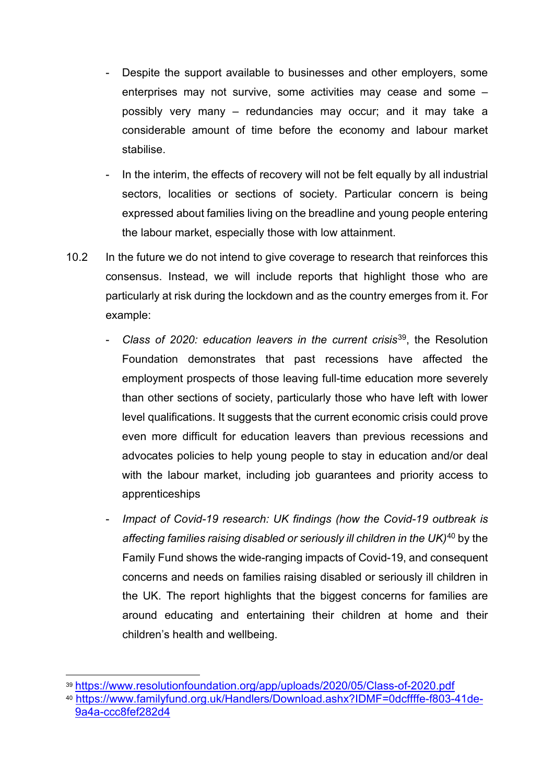- Despite the support available to businesses and other employers, some enterprises may not survive, some activities may cease and some – possibly very many – redundancies may occur; and it may take a considerable amount of time before the economy and labour market stabilise.
- In the interim, the effects of recovery will not be felt equally by all industrial sectors, localities or sections of society. Particular concern is being expressed about families living on the breadline and young people entering the labour market, especially those with low attainment.
- 10.2 In the future we do not intend to give coverage to research that reinforces this consensus. Instead, we will include reports that highlight those who are particularly at risk during the lockdown and as the country emerges from it. For example:
	- *Class of 2020: education leavers in the current crisis*[39,](#page-11-0) the Resolution Foundation demonstrates that past recessions have affected the employment prospects of those leaving full-time education more severely than other sections of society, particularly those who have left with lower level qualifications. It suggests that the current economic crisis could prove even more difficult for education leavers than previous recessions and advocates policies to help young people to stay in education and/or deal with the labour market, including job guarantees and priority access to apprenticeships
	- *Impact of Covid-19 research: UK findings (how the Covid-19 outbreak is affecting families raising disabled or seriously ill children in the UK)*[40](#page-11-1) by the Family Fund shows the wide-ranging impacts of Covid-19, and consequent concerns and needs on families raising disabled or seriously ill children in the UK. The report highlights that the biggest concerns for families are around educating and entertaining their children at home and their children's health and wellbeing.

<span id="page-11-0"></span><sup>39</sup> <https://www.resolutionfoundation.org/app/uploads/2020/05/Class-of-2020.pdf>

<span id="page-11-1"></span><sup>40</sup> [https://www.familyfund.org.uk/Handlers/Download.ashx?IDMF=0dcffffe-f803-41de-](https://www.familyfund.org.uk/Handlers/Download.ashx?IDMF=0dcffffe-f803-41de-9a4a-ccc8fef282d4)[9a4a-ccc8fef282d4](https://www.familyfund.org.uk/Handlers/Download.ashx?IDMF=0dcffffe-f803-41de-9a4a-ccc8fef282d4)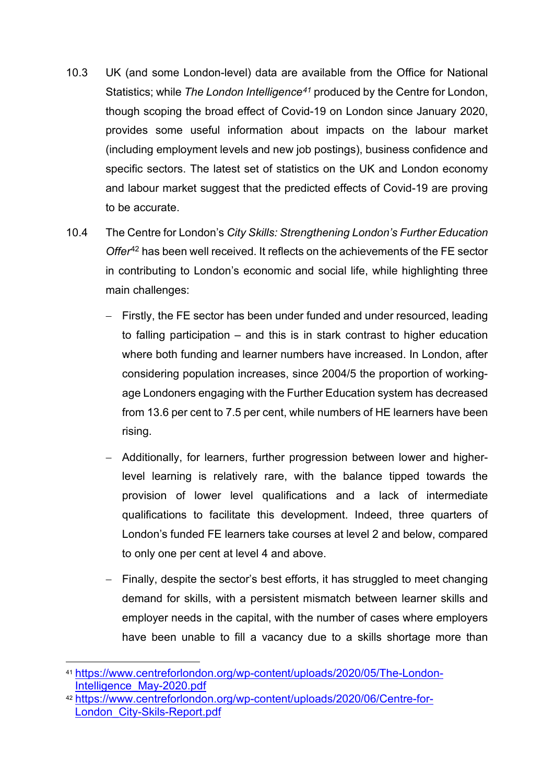- 10.3 UK (and some London-level) data are available from the Office for National Statistics; while *The London Intelligence[41](#page-12-0)* produced by the Centre for London, though scoping the broad effect of Covid-19 on London since January 2020, provides some useful information about impacts on the labour market (including employment levels and new job postings), business confidence and specific sectors. The latest set of statistics on the UK and London economy and labour market suggest that the predicted effects of Covid-19 are proving to be accurate.
- 10.4 The Centre for London's *City Skills: Strengthening London's Further Education Offer*[42](#page-12-1) has been well received. It reflects on the achievements of the FE sector in contributing to London's economic and social life, while highlighting three main challenges:
	- − Firstly, the FE sector has been under funded and under resourced, leading to falling participation – and this is in stark contrast to higher education where both funding and learner numbers have increased. In London, after considering population increases, since 2004/5 the proportion of workingage Londoners engaging with the Further Education system has decreased from 13.6 per cent to 7.5 per cent, while numbers of HE learners have been rising.
	- − Additionally, for learners, further progression between lower and higherlevel learning is relatively rare, with the balance tipped towards the provision of lower level qualifications and a lack of intermediate qualifications to facilitate this development. Indeed, three quarters of London's funded FE learners take courses at level 2 and below, compared to only one per cent at level 4 and above.
	- − Finally, despite the sector's best efforts, it has struggled to meet changing demand for skills, with a persistent mismatch between learner skills and employer needs in the capital, with the number of cases where employers have been unable to fill a vacancy due to a skills shortage more than

<span id="page-12-0"></span><sup>41</sup> [https://www.centreforlondon.org/wp-content/uploads/2020/05/The-London-](https://www.centreforlondon.org/wp-content/uploads/2020/05/The-London-Intelligence_May-2020.pdf)[Intelligence\\_May-2020.pdf](https://www.centreforlondon.org/wp-content/uploads/2020/05/The-London-Intelligence_May-2020.pdf)

<span id="page-12-1"></span><sup>42</sup> [https://www.centreforlondon.org/wp-content/uploads/2020/06/Centre-for-](https://www.centreforlondon.org/wp-content/uploads/2020/06/Centre-for-London_City-Skils-Report.pdf)[London\\_City-Skils-Report.pdf](https://www.centreforlondon.org/wp-content/uploads/2020/06/Centre-for-London_City-Skils-Report.pdf)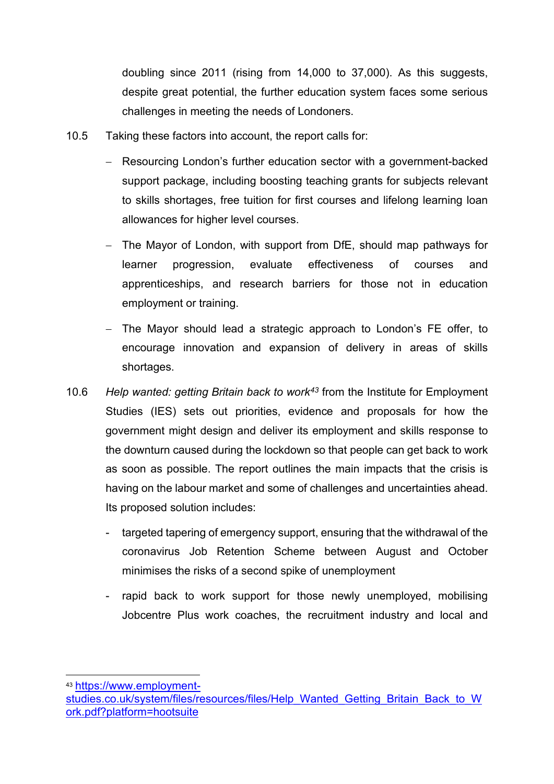doubling since 2011 (rising from 14,000 to 37,000). As this suggests, despite great potential, the further education system faces some serious challenges in meeting the needs of Londoners.

- 10.5 Taking these factors into account, the report calls for:
	- − Resourcing London's further education sector with a government-backed support package, including boosting teaching grants for subjects relevant to skills shortages, free tuition for first courses and lifelong learning loan allowances for higher level courses.
	- − The Mayor of London, with support from DfE, should map pathways for learner progression, evaluate effectiveness of courses and apprenticeships, and research barriers for those not in education employment or training.
	- − The Mayor should lead a strategic approach to London's FE offer, to encourage innovation and expansion of delivery in areas of skills shortages.
- 10.6 *Help wanted: getting Britain back to work[43](#page-13-0)* from the Institute for Employment Studies (IES) sets out priorities, evidence and proposals for how the government might design and deliver its employment and skills response to the downturn caused during the lockdown so that people can get back to work as soon as possible. The report outlines the main impacts that the crisis is having on the labour market and some of challenges and uncertainties ahead. Its proposed solution includes:
	- targeted tapering of emergency support, ensuring that the withdrawal of the coronavirus Job Retention Scheme between August and October minimises the risks of a second spike of unemployment
	- rapid back to work support for those newly unemployed, mobilising Jobcentre Plus work coaches, the recruitment industry and local and

<span id="page-13-0"></span><sup>43</sup> [https://www.employment-](https://www.employment-studies.co.uk/system/files/resources/files/Help_Wanted_Getting_Britain_Back_to_Work.pdf?platform=hootsuite)

[studies.co.uk/system/files/resources/files/Help\\_Wanted\\_Getting\\_Britain\\_Back\\_to\\_W](https://www.employment-studies.co.uk/system/files/resources/files/Help_Wanted_Getting_Britain_Back_to_Work.pdf?platform=hootsuite) [ork.pdf?platform=hootsuite](https://www.employment-studies.co.uk/system/files/resources/files/Help_Wanted_Getting_Britain_Back_to_Work.pdf?platform=hootsuite)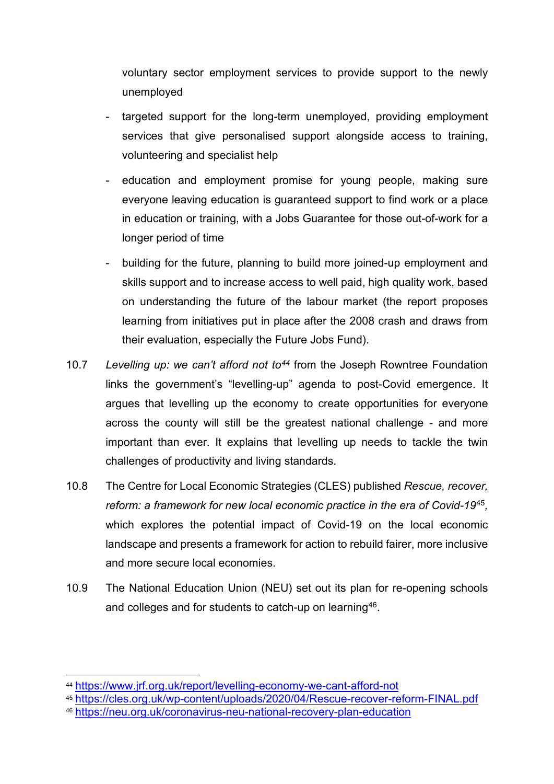voluntary sector employment services to provide support to the newly unemployed

- targeted support for the long-term unemployed, providing employment services that give personalised support alongside access to training, volunteering and specialist help
- education and employment promise for young people, making sure everyone leaving education is guaranteed support to find work or a place in education or training, with a Jobs Guarantee for those out-of-work for a longer period of time
- building for the future, planning to build more joined-up employment and skills support and to increase access to well paid, high quality work, based on understanding the future of the labour market (the report proposes learning from initiatives put in place after the 2008 crash and draws from their evaluation, especially the Future Jobs Fund).
- 10.7 *Levelling up: we can't afford not to[44](#page-14-0)* from the Joseph Rowntree Foundation links the government's "levelling-up" agenda to post-Covid emergence. It argues that levelling up the economy to create opportunities for everyone across the county will still be the greatest national challenge - and more important than ever. It explains that levelling up needs to tackle the twin challenges of productivity and living standards.
- 10.8 The Centre for Local Economic Strategies (CLES) published *Rescue, recover, reform: a framework for new local economic practice in the era of Covid-19*[45](#page-14-1)*,*  which explores the potential impact of Covid-19 on the local economic landscape and presents a framework for action to rebuild fairer, more inclusive and more secure local economies.
- 10.9 The National Education Union (NEU) set out its plan for re-opening schools and colleges and for students to catch-up on learning<sup>[46](#page-14-2)</sup>.

<span id="page-14-0"></span><sup>44</sup> <https://www.jrf.org.uk/report/levelling-economy-we-cant-afford-not>

<span id="page-14-1"></span><sup>45</sup> <https://cles.org.uk/wp-content/uploads/2020/04/Rescue-recover-reform-FINAL.pdf>

<span id="page-14-2"></span><sup>46</sup> <https://neu.org.uk/coronavirus-neu-national-recovery-plan-education>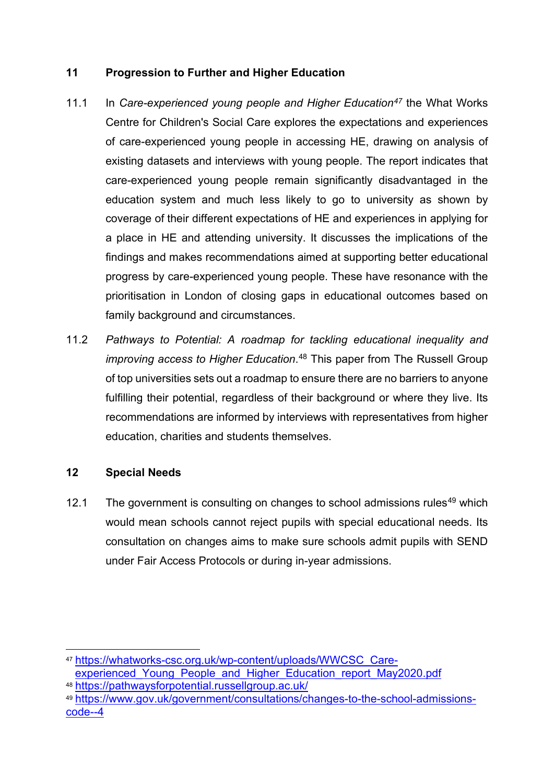#### **11 Progression to Further and Higher Education**

- 11.1 In *Care-experienced young people and Higher Education<sup>47</sup> the What Works* Centre for Children's Social Care explores the expectations and experiences of care-experienced young people in accessing HE, drawing on analysis of existing datasets and interviews with young people. The report indicates that care-experienced young people remain significantly disadvantaged in the education system and much less likely to go to university as shown by coverage of their different expectations of HE and experiences in applying for a place in HE and attending university. It discusses the implications of the findings and makes recommendations aimed at supporting better educational progress by care-experienced young people. These have resonance with the prioritisation in London of closing gaps in educational outcomes based on family background and circumstances.
- 11.2 *Pathways to Potential: A roadmap for tackling educational inequality and improving access to Higher Education*. [48](#page-15-1) This paper from The Russell Group of top universities sets out a roadmap to ensure there are no barriers to anyone fulfilling their potential, regardless of their background or where they live. Its recommendations are informed by interviews with representatives from higher education, charities and students themselves.

#### **12 Special Needs**

12.1 The government is consulting on changes to school admissions rules<sup>[49](#page-15-2)</sup> which would mean schools cannot reject pupils with special educational needs. Its consultation on changes aims to make sure schools admit pupils with SEND under Fair Access Protocols or during in-year admissions.

<span id="page-15-0"></span><sup>47</sup> [https://whatworks-csc.org.uk/wp-content/uploads/WWCSC\\_Care](https://whatworks-csc.org.uk/wp-content/uploads/WWCSC_Care-experienced_Young_People_and_Higher_Education_report_May2020.pdf)experienced Young People and Higher Education report May2020.pdf

<span id="page-15-1"></span><sup>48</sup> <https://pathwaysforpotential.russellgroup.ac.uk/>

<span id="page-15-2"></span><sup>49</sup> [https://www.gov.uk/government/consultations/changes-to-the-school-admissions](https://www.gov.uk/government/consultations/changes-to-the-school-admissions-code--4)[code--4](https://www.gov.uk/government/consultations/changes-to-the-school-admissions-code--4)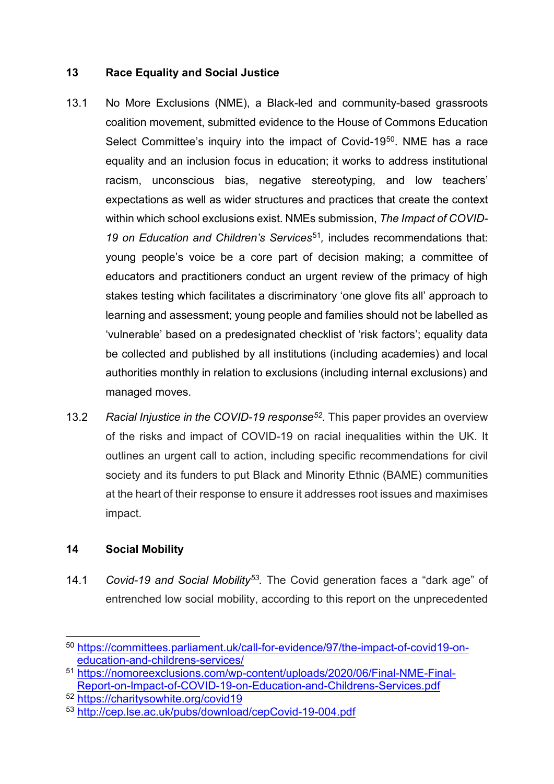#### **13 Race Equality and Social Justice**

- 13.1 No More Exclusions (NME), a Black-led and community-based grassroots coalition movement, submitted evidence to the House of Commons Education Select Committee's inquiry into the impact of Covid-19<sup>[50](#page-16-0)</sup>. NME has a race equality and an inclusion focus in education; it works to address institutional racism, unconscious bias, negative stereotyping, and low teachers' expectations as well as wider structures and practices that create the context within which school exclusions exist. NMEs submission, *The Impact of COVID-19 on Education and Children's Services*[51](#page-16-1)*,* includes recommendations that: young people's voice be a core part of decision making; a committee of educators and practitioners conduct an urgent review of the primacy of high stakes testing which facilitates a discriminatory 'one glove fits all' approach to learning and assessment; young people and families should not be labelled as 'vulnerable' based on a predesignated checklist of 'risk factors'; equality data be collected and published by all institutions (including academies) and local authorities monthly in relation to exclusions (including internal exclusions) and managed moves.
- 13.2 *Racial Injustice in the COVID-19 respons[e52](#page-16-2).* This paper provides an overview of the risks and impact of COVID-19 on racial inequalities within the UK. It outlines an urgent call to action, including specific recommendations for civil society and its funders to put Black and Minority Ethnic (BAME) communities at the heart of their response to ensure it addresses root issues and maximises impact.

#### **14 Social Mobility**

14.1 *Covid-19 and Social Mobility[53.](#page-16-3)* The Covid generation faces a "dark age" of entrenched low social mobility, according to this report on the unprecedented

<span id="page-16-0"></span><sup>50</sup> [https://committees.parliament.uk/call-for-evidence/97/the-impact-of-covid19-on](https://committees.parliament.uk/call-for-evidence/97/the-impact-of-covid19-on-education-and-childrens-services/)[education-and-childrens-services/](https://committees.parliament.uk/call-for-evidence/97/the-impact-of-covid19-on-education-and-childrens-services/)

<span id="page-16-1"></span><sup>51</sup> [https://nomoreexclusions.com/wp-content/uploads/2020/06/Final-NME-Final-](https://nomoreexclusions.com/wp-content/uploads/2020/06/Final-NME-Final-Report-on-Impact-of-COVID-19-on-Education-and-Childrens-Services.pdf)[Report-on-Impact-of-COVID-19-on-Education-and-Childrens-Services.pdf](https://nomoreexclusions.com/wp-content/uploads/2020/06/Final-NME-Final-Report-on-Impact-of-COVID-19-on-Education-and-Childrens-Services.pdf)

<span id="page-16-2"></span><sup>52</sup> <https://charitysowhite.org/covid19>

<span id="page-16-3"></span><sup>53</sup> [http://cep.lse.ac.uk/pubs/download/cepCovid-19-004.pdf](http://cep.lse.ac.uk/pubs/download/cepcovid-19-004.pdf)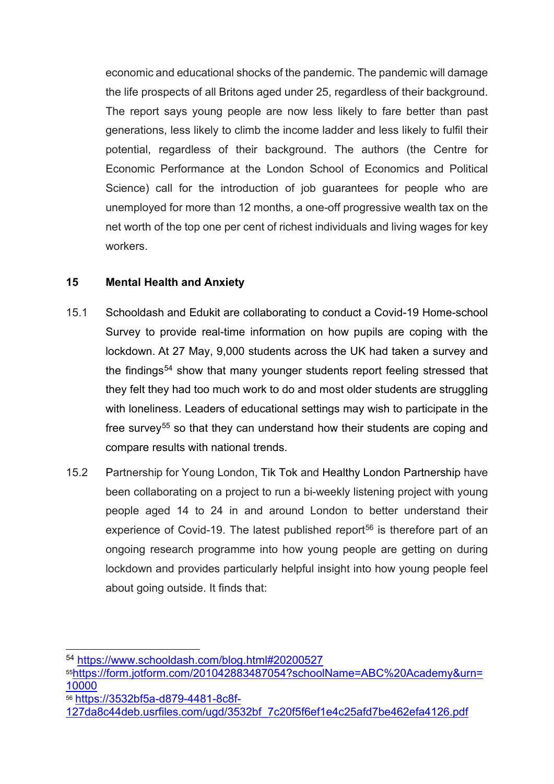economic and educational shocks of the pandemic. The pandemic will damage the life prospects of all Britons aged under 25, regardless of their background. The report says young people are now less likely to fare better than past generations, less likely to climb the income ladder and less likely to fulfil their potential, regardless of their background. The authors (the Centre for Economic Performance at the London School of Economics and Political Science) call for the introduction of job guarantees for people who are unemployed for more than 12 months, a one-off progressive wealth tax on the net worth of the top one per cent of richest individuals and living wages for key workers.

#### **15 Mental Health and Anxiety**

- 15.1 Schooldash and Edukit are collaborating to conduct a Covid-19 Home-school Survey to provide real-time information on how pupils are coping with the lockdown. At 27 May, 9,000 students across the UK had taken a survey and the findings<sup>[54](#page-17-0)</sup> show that many younger students report feeling stressed that they felt they had too much work to do and most older students are struggling with loneliness. Leaders of educational settings may wish to participate in the free survey<sup>[55](#page-17-1)</sup> so that they can understand how their students are coping and compare results with national trends.
- 15.2 Partnership for Young London, Tik Tok and Healthy London Partnership have been collaborating on a project to run a bi-weekly listening project with young people aged 14 to 24 in and around London to better understand their experience of Covid-19. The latest published report<sup>[56](#page-17-2)</sup> is therefore part of an ongoing research programme into how young people are getting on during lockdown and provides particularly helpful insight into how young people feel about going outside. It finds that:

<span id="page-17-2"></span><sup>56</sup> [https://3532bf5a-d879-4481-8c8f-](https://3532bf5a-d879-4481-8c8f-127da8c44deb.usrfiles.com/ugd/3532bf_7c20f5f6ef1e4c25afd7be462efa4126.pdf)

<span id="page-17-0"></span><sup>54</sup> <https://www.schooldash.com/blog.html#20200527>

<span id="page-17-1"></span><sup>5</sup>[5https://form.jotform.com/201042883487054?schoolName=ABC%20Academy&urn=](https://form.jotform.com/201042883487054?schoolName=ABC%20Academy&urn=10000) [10000](https://form.jotform.com/201042883487054?schoolName=ABC%20Academy&urn=10000)

[<sup>127</sup>da8c44deb.usrfiles.com/ugd/3532bf\\_7c20f5f6ef1e4c25afd7be462efa4126.pdf](https://3532bf5a-d879-4481-8c8f-127da8c44deb.usrfiles.com/ugd/3532bf_7c20f5f6ef1e4c25afd7be462efa4126.pdf)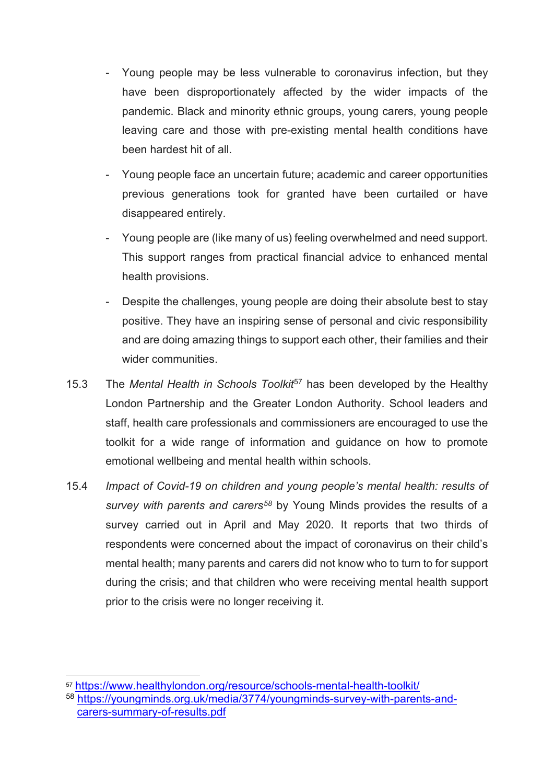- Young people may be less vulnerable to coronavirus infection, but they have been disproportionately affected by the wider impacts of the pandemic. Black and minority ethnic groups, young carers, young people leaving care and those with pre-existing mental health conditions have been hardest hit of all.
- Young people face an uncertain future; academic and career opportunities previous generations took for granted have been curtailed or have disappeared entirely.
- Young people are (like many of us) feeling overwhelmed and need support. This support ranges from practical financial advice to enhanced mental health provisions.
- Despite the challenges, young people are doing their absolute best to stay positive. They have an inspiring sense of personal and civic responsibility and are doing amazing things to support each other, their families and their wider communities.
- 15.3 The *Mental Health in Schools Toolkit*[57](#page-18-0) has been developed by the Healthy London Partnership and the Greater London Authority. School leaders and staff, health care professionals and commissioners are encouraged to use the toolkit for a wide range of information and guidance on how to promote emotional wellbeing and mental health within schools.
- 15.4 *Impact of Covid-19 on children and young people's mental health: results of survey with parents and carers[58](#page-18-1)* by Young Minds provides the results of a survey carried out in April and May 2020. It reports that two thirds of respondents were concerned about the impact of coronavirus on their child's mental health; many parents and carers did not know who to turn to for support during the crisis; and that children who were receiving mental health support prior to the crisis were no longer receiving it.

<span id="page-18-0"></span><sup>57</sup> <https://www.healthylondon.org/resource/schools-mental-health-toolkit/>

<span id="page-18-1"></span><sup>58</sup> [https://youngminds.org.uk/media/3774/youngminds-survey-with-parents-and](https://youngminds.org.uk/media/3774/youngminds-survey-with-parents-and-carers-summary-of-results.pdf)[carers-summary-of-results.pdf](https://youngminds.org.uk/media/3774/youngminds-survey-with-parents-and-carers-summary-of-results.pdf)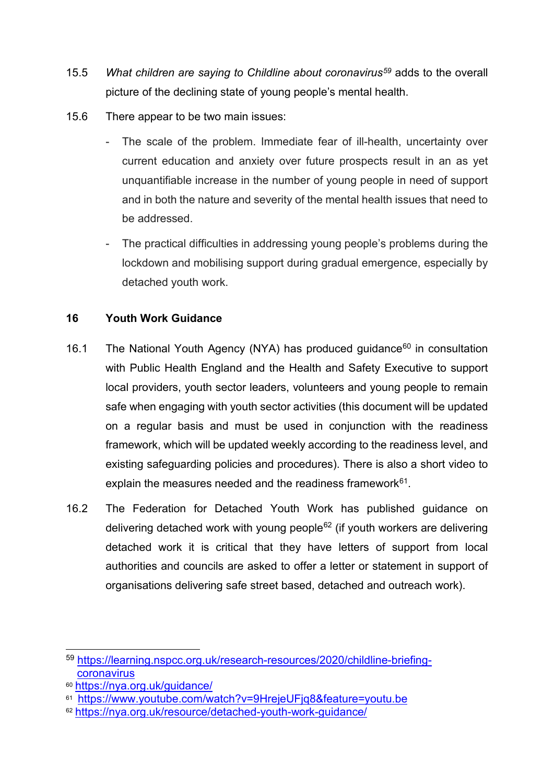- 15.5 *What children are saying to Childline about coronavirus[59](#page-19-0)* adds to the overall picture of the declining state of young people's mental health.
- 15.6 There appear to be two main issues:
	- The scale of the problem. Immediate fear of ill-health, uncertainty over current education and anxiety over future prospects result in an as yet unquantifiable increase in the number of young people in need of support and in both the nature and severity of the mental health issues that need to be addressed.
	- The practical difficulties in addressing young people's problems during the lockdown and mobilising support during gradual emergence, especially by detached youth work.

#### **16 Youth Work Guidance**

- 16.1 The National Youth Agency (NYA) has produced guidance<sup>[60](#page-19-1)</sup> in consultation with Public Health England and the Health and Safety Executive to support local providers, youth sector leaders, volunteers and young people to remain safe when engaging with youth sector activities (this document will be updated on a regular basis and must be used in conjunction with the readiness framework, which will be updated weekly according to the readiness level, and existing safeguarding policies and procedures). There is also a short video to explain the measures needed and the readiness framework $61$ .
- 16.2 The Federation for Detached Youth Work has published guidance on delivering detached work with young people<sup>[62](#page-19-3)</sup> (if youth workers are delivering detached work it is critical that they have letters of support from local authorities and councils are asked to offer a letter or statement in support of organisations delivering safe street based, detached and outreach work).

<span id="page-19-0"></span><sup>59</sup> [https://learning.nspcc.org.uk/research-resources/2020/childline-briefing](https://learning.nspcc.org.uk/research-resources/2020/childline-briefing-coronavirus)[coronavirus](https://learning.nspcc.org.uk/research-resources/2020/childline-briefing-coronavirus)

<span id="page-19-1"></span><sup>60</sup> <https://nya.org.uk/guidance/>

<span id="page-19-2"></span><sup>61</sup> <https://www.youtube.com/watch?v=9HrejeUFjq8&feature=youtu.be>

<span id="page-19-3"></span><sup>62</sup> <https://nya.org.uk/resource/detached-youth-work-guidance/>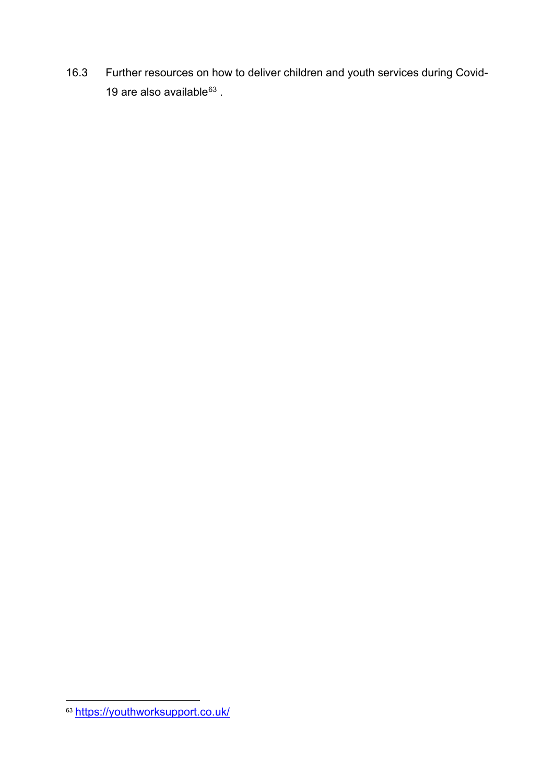16.3 Further resources on how to deliver children and youth services during Covid-19 are also available $63$ .

<span id="page-20-0"></span><sup>&</sup>lt;sup>63</sup> <https://youthworksupport.co.uk/>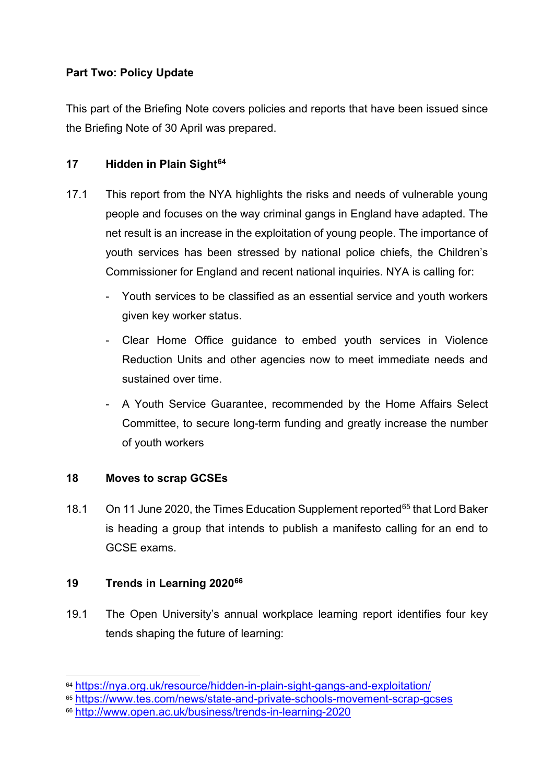### **Part Two: Policy Update**

This part of the Briefing Note covers policies and reports that have been issued since the Briefing Note of 30 April was prepared.

#### **17 Hidden in Plain Sight[64](#page-21-0)**

- 17.1 This report from the NYA highlights the risks and needs of vulnerable young people and focuses on the way criminal gangs in England have adapted. The net result is an increase in the exploitation of young people. The importance of youth services has been stressed by national police chiefs, the Children's Commissioner for England and recent national inquiries. NYA is calling for:
	- Youth services to be classified as an essential service and youth workers given key worker status.
	- Clear Home Office guidance to embed youth services in Violence Reduction Units and other agencies now to meet immediate needs and sustained over time.
	- A Youth Service Guarantee, recommended by the Home Affairs Select Committee, to secure long-term funding and greatly increase the number of youth workers

#### **18 Moves to scrap GCSEs**

18.1 On 11 June 2020, the Times Education Supplement reported<sup>[65](#page-21-1)</sup> that Lord Baker is heading a group that intends to publish a manifesto calling for an end to GCSE exams.

#### **19 Trends in Learning 2020[66](#page-21-2)**

19.1 The Open University's annual workplace learning report identifies four key tends shaping the future of learning:

<span id="page-21-0"></span><sup>64</sup> <https://nya.org.uk/resource/hidden-in-plain-sight-gangs-and-exploitation/>

<span id="page-21-1"></span><sup>65</sup> <https://www.tes.com/news/state-and-private-schools-movement-scrap-gcses>

<span id="page-21-2"></span><sup>66</sup> <http://www.open.ac.uk/business/trends-in-learning-2020>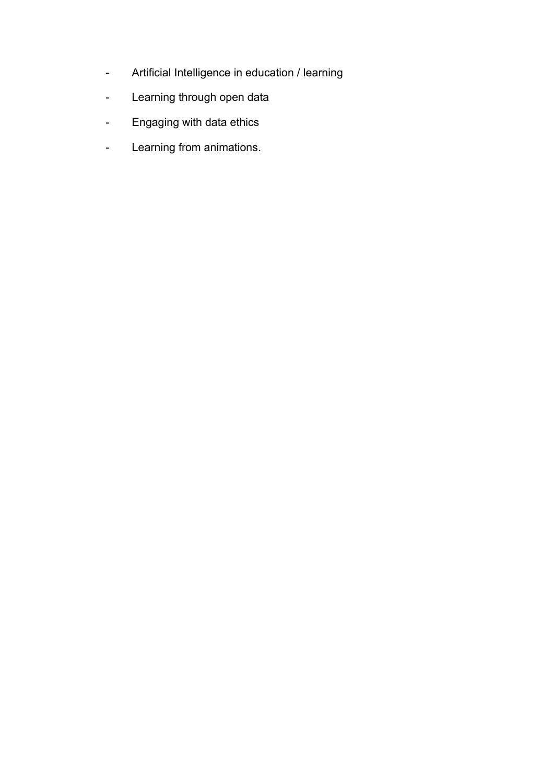- Artificial Intelligence in education / learning
- Learning through open data
- Engaging with data ethics
- Learning from animations.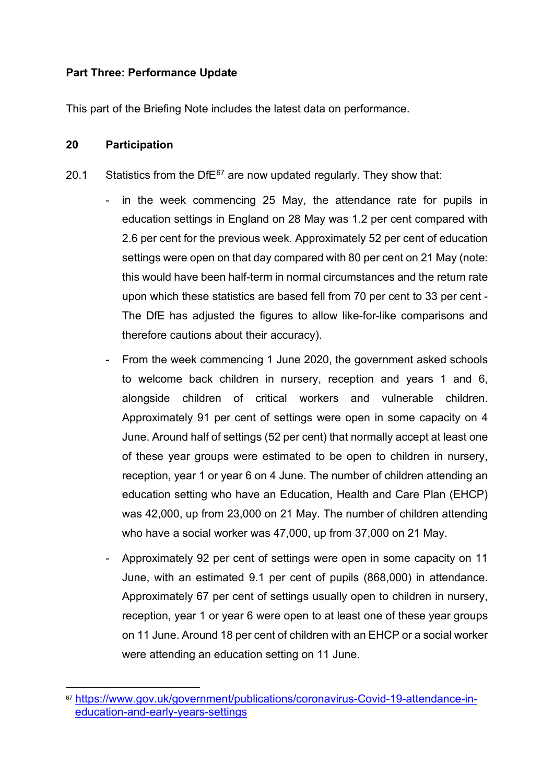#### **Part Three: Performance Update**

This part of the Briefing Note includes the latest data on performance.

#### **20 Participation**

- 20.1 Statistics from the Df $E^{67}$  $E^{67}$  $E^{67}$  are now updated regularly. They show that:
	- in the week commencing 25 May, the attendance rate for pupils in education settings in England on 28 May was 1.2 per cent compared with 2.6 per cent for the previous week. Approximately 52 per cent of education settings were open on that day compared with 80 per cent on 21 May (note: this would have been half-term in normal circumstances and the return rate upon which these statistics are based fell from 70 per cent to 33 per cent - The DfE has adjusted the figures to allow like-for-like comparisons and therefore cautions about their accuracy).
	- From the week commencing 1 June 2020, the government asked schools to welcome back children in nursery, reception and years 1 and 6, alongside children of critical workers and vulnerable children. Approximately 91 per cent of settings were open in some capacity on 4 June. Around half of settings (52 per cent) that normally accept at least one of these year groups were estimated to be open to children in nursery, reception, year 1 or year 6 on 4 June. The number of children attending an education setting who have an Education, Health and Care Plan (EHCP) was 42,000, up from 23,000 on 21 May. The number of children attending who have a social worker was 47,000, up from 37,000 on 21 May.
	- Approximately 92 per cent of settings were open in some capacity on 11 June, with an estimated 9.1 per cent of pupils (868,000) in attendance. Approximately 67 per cent of settings usually open to children in nursery, reception, year 1 or year 6 were open to at least one of these year groups on 11 June. Around 18 per cent of children with an EHCP or a social worker were attending an education setting on 11 June.

<span id="page-23-0"></span><sup>67</sup> [https://www.gov.uk/government/publications/coronavirus-Covid-19-attendance-in](https://www.gov.uk/government/publications/coronavirus-covid-19-attendance-in-education-and-early-years-settings)[education-and-early-years-settings](https://www.gov.uk/government/publications/coronavirus-covid-19-attendance-in-education-and-early-years-settings)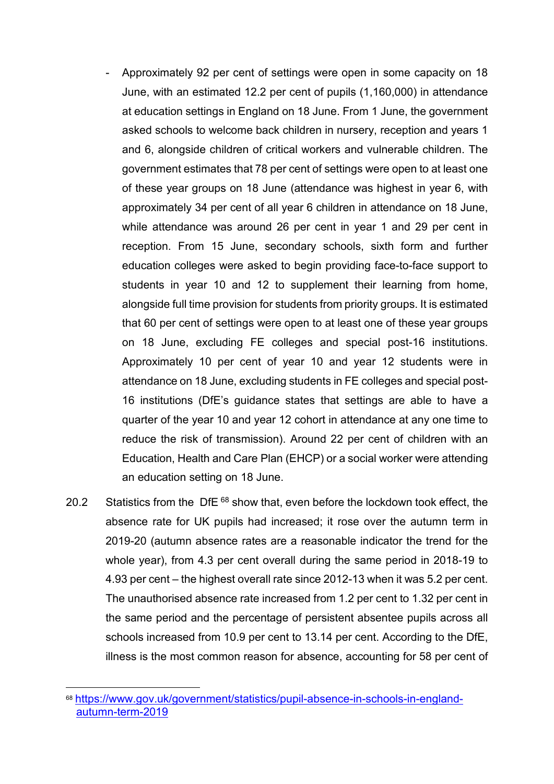- Approximately 92 per cent of settings were open in some capacity on 18 June, with an estimated 12.2 per cent of pupils (1,160,000) in attendance at education settings in England on 18 June. From 1 June, the government asked schools to welcome back children in nursery, reception and years 1 and 6, alongside children of critical workers and vulnerable children. The government estimates that 78 per cent of settings were open to at least one of these year groups on 18 June (attendance was highest in year 6, with approximately 34 per cent of all year 6 children in attendance on 18 June, while attendance was around 26 per cent in year 1 and 29 per cent in reception. From 15 June, secondary schools, sixth form and further education colleges were asked to begin providing face-to-face support to students in year 10 and 12 to supplement their learning from home, alongside full time provision for students from priority groups. It is estimated that 60 per cent of settings were open to at least one of these year groups on 18 June, excluding FE colleges and special post-16 institutions. Approximately 10 per cent of year 10 and year 12 students were in attendance on 18 June, excluding students in FE colleges and special post-16 institutions (DfE's guidance states that settings are able to have a quarter of the year 10 and year 12 cohort in attendance at any one time to reduce the risk of transmission). Around 22 per cent of children with an Education, Health and Care Plan (EHCP) or a social worker were attending an education setting on 18 June.
- 20.2 Statistics from the DfE  $68$  show that, even before the lockdown took effect, the absence rate for UK pupils had increased; it rose over the autumn term in 2019-20 (autumn absence rates are a reasonable indicator the trend for the whole year), from 4.3 per cent overall during the same period in 2018-19 to 4.93 per cent – the highest overall rate since 2012-13 when it was 5.2 per cent. The unauthorised absence rate increased from 1.2 per cent to 1.32 per cent in the same period and the percentage of persistent absentee pupils across all schools increased from 10.9 per cent to 13.14 per cent. According to the DfE, illness is the most common reason for absence, accounting for 58 per cent of

<span id="page-24-0"></span><sup>68</sup> [https://www.gov.uk/government/statistics/pupil-absence-in-schools-in-england](https://www.gov.uk/government/statistics/pupil-absence-in-schools-in-england-autumn-term-2019)[autumn-term-2019](https://www.gov.uk/government/statistics/pupil-absence-in-schools-in-england-autumn-term-2019)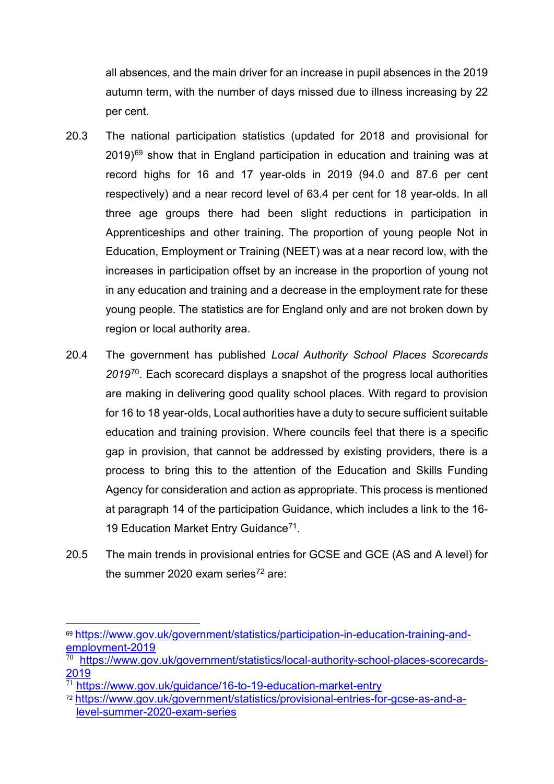all absences, and the main driver for an increase in pupil absences in the 2019 autumn term, with the number of days missed due to illness increasing by 22 per cent.

- 20.3 The national participation statistics (updated for 2018 and provisional for  $2019$ <sup>[69](#page-25-0)</sup> show that in England participation in education and training was at record highs for 16 and 17 year-olds in 2019 (94.0 and 87.6 per cent respectively) and a near record level of 63.4 per cent for 18 year-olds. In all three age groups there had been slight reductions in participation in Apprenticeships and other training. The proportion of young people Not in Education, Employment or Training (NEET) was at a near record low, with the increases in participation offset by an increase in the proportion of young not in any education and training and a decrease in the employment rate for these young people. The statistics are for England only and are not broken down by region or local authority area.
- 20.4 The government has published *Local Authority School Places Scorecards 2019*[70.](#page-25-1) Each scorecard displays a snapshot of the progress local authorities are making in delivering good quality school places. With regard to provision for 16 to 18 year-olds, Local authorities have a duty to secure sufficient suitable education and training provision. Where councils feel that there is a specific gap in provision, that cannot be addressed by existing providers, there is a process to bring this to the attention of the Education and Skills Funding Agency for consideration and action as appropriate. This process is mentioned at paragraph 14 of the participation Guidance, which includes a link to the 16- 19 Education Market Entry Guidance<sup>[71](#page-25-2)</sup>.
- 20.5 The main trends in provisional entries for GCSE and GCE (AS and A level) for the summer 2020 exam series<sup>72</sup> are:

<span id="page-25-0"></span><sup>69</sup> [https://www.gov.uk/government/statistics/participation-in-education-training-and](https://www.gov.uk/government/statistics/participation-in-education-training-and-employment-2019)[employment-2019](https://www.gov.uk/government/statistics/participation-in-education-training-and-employment-2019)

<span id="page-25-1"></span>[https://www.gov.uk/government/statistics/local-authority-school-places-scorecards-](https://www.gov.uk/government/statistics/local-authority-school-places-scorecards-2019)[2019](https://www.gov.uk/government/statistics/local-authority-school-places-scorecards-2019)

<span id="page-25-2"></span><https://www.gov.uk/guidance/16-to-19-education-market-entry>

<span id="page-25-3"></span><sup>72</sup> [https://www.gov.uk/government/statistics/provisional-entries-for-gcse-as-and-a](https://www.gov.uk/government/statistics/provisional-entries-for-gcse-as-and-a-level-summer-2020-exam-series)[level-summer-2020-exam-series](https://www.gov.uk/government/statistics/provisional-entries-for-gcse-as-and-a-level-summer-2020-exam-series)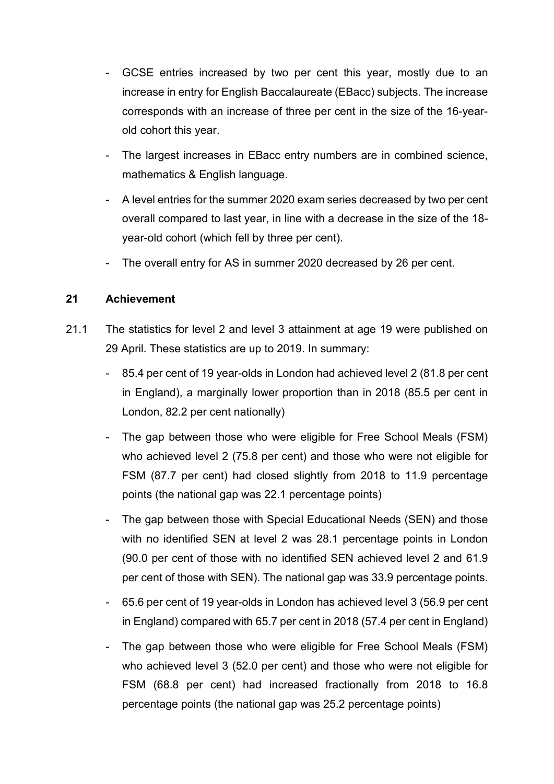- GCSE entries increased by two per cent this year, mostly due to an increase in entry for English Baccalaureate (EBacc) subjects. The increase corresponds with an increase of three per cent in the size of the 16-yearold cohort this year.
- The largest increases in EBacc entry numbers are in combined science, mathematics & English language.
- A level entries for the summer 2020 exam series decreased by two per cent overall compared to last year, in line with a decrease in the size of the 18 year-old cohort (which fell by three per cent).
- The overall entry for AS in summer 2020 decreased by 26 per cent.

#### **21 Achievement**

- 21.1 The statistics for level 2 and level 3 attainment at age 19 were published on 29 April. These statistics are up to 2019. In summary:
	- 85.4 per cent of 19 year-olds in London had achieved level 2 (81.8 per cent in England), a marginally lower proportion than in 2018 (85.5 per cent in London, 82.2 per cent nationally)
	- The gap between those who were eligible for Free School Meals (FSM) who achieved level 2 (75.8 per cent) and those who were not eligible for FSM (87.7 per cent) had closed slightly from 2018 to 11.9 percentage points (the national gap was 22.1 percentage points)
	- The gap between those with Special Educational Needs (SEN) and those with no identified SEN at level 2 was 28.1 percentage points in London (90.0 per cent of those with no identified SEN achieved level 2 and 61.9 per cent of those with SEN). The national gap was 33.9 percentage points.
	- 65.6 per cent of 19 year-olds in London has achieved level 3 (56.9 per cent in England) compared with 65.7 per cent in 2018 (57.4 per cent in England)
	- The gap between those who were eligible for Free School Meals (FSM) who achieved level 3 (52.0 per cent) and those who were not eligible for FSM (68.8 per cent) had increased fractionally from 2018 to 16.8 percentage points (the national gap was 25.2 percentage points)